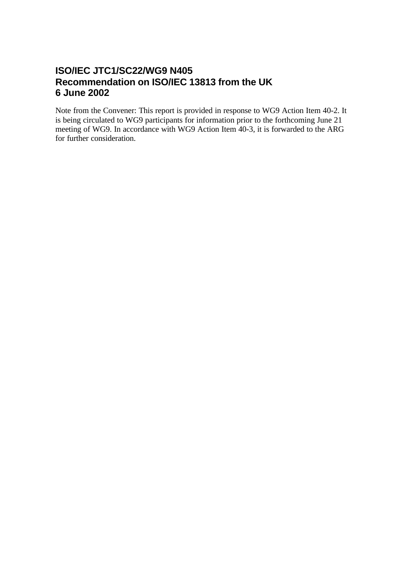# **ISO/IEC JTC1/SC22/WG9 N405 Recommendation on ISO/IEC 13813 from the UK 6 June 2002**

Note from the Convener: This report is provided in response to WG9 Action Item 40-2. It is being circulated to WG9 participants for information prior to the forthcoming June 21 meeting of WG9. In accordance with WG9 Action Item 40-3, it is forwarded to the ARG for further consideration.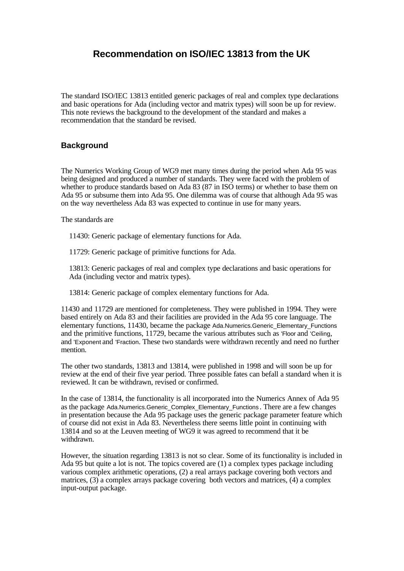## **Recommendation on ISO/IEC 13813 from the UK**

The standard ISO/IEC 13813 entitled generic packages of real and complex type declarations and basic operations for Ada (including vector and matrix types) will soon be up for review. This note reviews the background to the development of the standard and makes a recommendation that the standard be revised.

## **Background**

The Numerics Working Group of WG9 met many times during the period when Ada 95 was being designed and produced a number of standards. They were faced with the problem of whether to produce standards based on Ada 83 (87 in ISO terms) or whether to base them on Ada 95 or subsume them into Ada 95. One dilemma was of course that although Ada 95 was on the way nevertheless Ada 83 was expected to continue in use for many years.

The standards are

11430: Generic package of elementary functions for Ada.

11729: Generic package of primitive functions for Ada.

13813: Generic packages of real and complex type declarations and basic operations for Ada (including vector and matrix types).

13814: Generic package of complex elementary functions for Ada.

11430 and 11729 are mentioned for completeness. They were published in 1994. They were based entirely on Ada 83 and their facilities are provided in the Ada 95 core language. The elementary functions, 11430, became the package Ada.Numerics.Generic\_Elementary\_Functions and the primitive functions, 11729, became the various attributes such as 'Floor and 'Ceiling, and 'Exponent and 'Fraction. These two standards were withdrawn recently and need no further mention.

The other two standards, 13813 and 13814, were published in 1998 and will soon be up for review at the end of their five year period. Three possible fates can befall a standard when it is reviewed. It can be withdrawn, revised or confirmed.

In the case of 13814, the functionality is all incorporated into the Numerics Annex of Ada 95 as the package Ada.Numerics.Generic Complex Elementary Functions . There are a few changes in presentation because the Ada 95 package uses the generic package parameter feature which of course did not exist in Ada 83. Nevertheless there seems little point in continuing with 13814 and so at the Leuven meeting of WG9 it was agreed to recommend that it be withdrawn.

However, the situation regarding 13813 is not so clear. Some of its functionality is included in Ada 95 but quite a lot is not. The topics covered are (1) a complex types package including various complex arithmetic operations, (2) a real arrays package covering both vectors and matrices, (3) a complex arrays package covering both vectors and matrices, (4) a complex input-output package.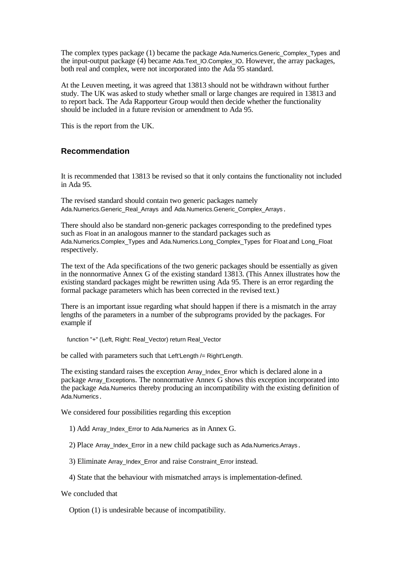The complex types package (1) became the package Ada.Numerics.Generic\_Complex\_Types and the input-output package (4) became Ada.Text\_IO.Complex\_IO. However, the array packages, both real and complex, were not incorporated into the Ada 95 standard.

At the Leuven meeting, it was agreed that 13813 should not be withdrawn without further study. The UK was asked to study whether small or large changes are required in 13813 and to report back. The Ada Rapporteur Group would then decide whether the functionality should be included in a future revision or amendment to Ada 95.

This is the report from the UK.

#### **Recommendation**

It is recommended that 13813 be revised so that it only contains the functionality not included in Ada 95.

The revised standard should contain two generic packages namely Ada.Numerics.Generic\_Real\_Arrays and Ada.Numerics.Generic\_Complex\_Arrays.

There should also be standard non-generic packages corresponding to the predefined types such as Float in an analogous manner to the standard packages such as Ada.Numerics.Complex\_Types and Ada.Numerics.Long\_Complex\_Types for Float and Long\_Float respectively.

The text of the Ada specifications of the two generic packages should be essentially as given in the nonnormative Annex G of the existing standard 13813. (This Annex illustrates how the existing standard packages might be rewritten using Ada 95. There is an error regarding the formal package parameters which has been corrected in the revised text.)

There is an important issue regarding what should happen if there is a mismatch in the array lengths of the parameters in a number of the subprograms provided by the packages. For example if

function "+" (Left, Right: Real\_Vector) return Real\_Vector

be called with parameters such that Left'Length /= Right'Length.

The existing standard raises the exception Array\_Index\_Error which is declared alone in a package Array\_Exceptions. The nonnormative Annex G shows this exception incorporated into the package Ada.Numerics thereby producing an incompatibility with the existing definition of Ada.Numerics .

We considered four possibilities regarding this exception

- 1) Add Array Index Error to Ada.Numerics as in Annex G.
- 2) Place Array Index Error in a new child package such as Ada.Numerics.Arrays .
- 3) Eliminate Array\_Index\_Error and raise Constraint\_Error instead.
- 4) State that the behaviour with mismatched arrays is implementation-defined.

We concluded that

Option (1) is undesirable because of incompatibility.